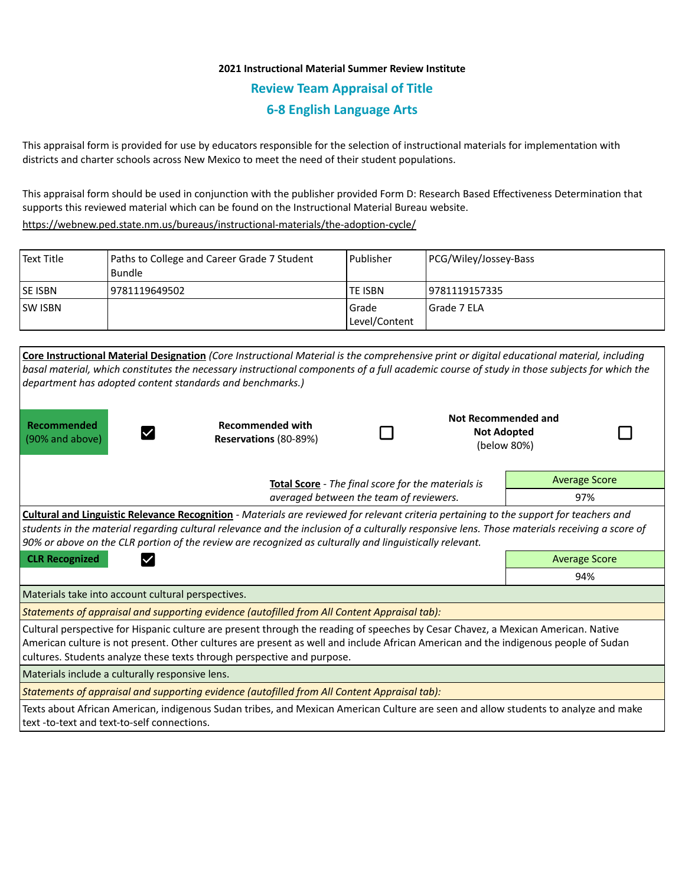## **2021 Instructional Material Summer Review Institute Review Team Appraisal of Title 6-8 English Language Arts**

This appraisal form is provided for use by educators responsible for the selection of instructional materials for implementation with districts and charter schools across New Mexico to meet the need of their student populations.

This appraisal form should be used in conjunction with the publisher provided Form D: Research Based Effectiveness Determination that supports this reviewed material which can be found on the Instructional Material Bureau website.

<https://webnew.ped.state.nm.us/bureaus/instructional-materials/the-adoption-cycle/>

| Text Title     | Paths to College and Career Grade 7 Student<br>Bundle | l Publisher              | PCG/Wiley/Jossey-Bass |
|----------------|-------------------------------------------------------|--------------------------|-----------------------|
| <b>SE ISBN</b> | 9781119649502                                         | <b>TE ISBN</b>           | 19781119157335        |
| <b>SW ISBN</b> |                                                       | l Grade<br>Level/Content | l Grade 7 ELA         |

| Core Instructional Material Designation (Core Instructional Material is the comprehensive print or digital educational material, including<br>basal material, which constitutes the necessary instructional components of a full academic course of study in those subjects for which the<br>department has adopted content standards and benchmarks.)                                                     |                                                  |  |                                                          |                      |                      |  |  |  |
|------------------------------------------------------------------------------------------------------------------------------------------------------------------------------------------------------------------------------------------------------------------------------------------------------------------------------------------------------------------------------------------------------------|--------------------------------------------------|--|----------------------------------------------------------|----------------------|----------------------|--|--|--|
| Recommended<br>(90% and above)                                                                                                                                                                                                                                                                                                                                                                             | <b>Recommended with</b><br>Reservations (80-89%) |  | Not Recommended and<br><b>Not Adopted</b><br>(below 80%) |                      |                      |  |  |  |
| Total Score - The final score for the materials is                                                                                                                                                                                                                                                                                                                                                         |                                                  |  |                                                          | <b>Average Score</b> |                      |  |  |  |
| averaged between the team of reviewers.                                                                                                                                                                                                                                                                                                                                                                    |                                                  |  |                                                          | 97%                  |                      |  |  |  |
| <b>Cultural and Linguistic Relevance Recognition</b> - Materials are reviewed for relevant criteria pertaining to the support for teachers and<br>students in the material regarding cultural relevance and the inclusion of a culturally responsive lens. Those materials receiving a score of<br>90% or above on the CLR portion of the review are recognized as culturally and linguistically relevant. |                                                  |  |                                                          |                      |                      |  |  |  |
| <b>CLR Recognized</b>                                                                                                                                                                                                                                                                                                                                                                                      |                                                  |  |                                                          |                      | <b>Average Score</b> |  |  |  |
|                                                                                                                                                                                                                                                                                                                                                                                                            | 94%                                              |  |                                                          |                      |                      |  |  |  |
| Materials take into account cultural perspectives.                                                                                                                                                                                                                                                                                                                                                         |                                                  |  |                                                          |                      |                      |  |  |  |
| Statements of appraisal and supporting evidence (autofilled from All Content Appraisal tab):                                                                                                                                                                                                                                                                                                               |                                                  |  |                                                          |                      |                      |  |  |  |
| Cultural perspective for Hispanic culture are present through the reading of speeches by Cesar Chavez, a Mexican American. Native<br>American culture is not present. Other cultures are present as well and include African American and the indigenous people of Sudan<br>cultures. Students analyze these texts through perspective and purpose.                                                        |                                                  |  |                                                          |                      |                      |  |  |  |
| Materials include a culturally responsive lens.                                                                                                                                                                                                                                                                                                                                                            |                                                  |  |                                                          |                      |                      |  |  |  |
| Statements of appraisal and supporting evidence (autofilled from All Content Appraisal tab):                                                                                                                                                                                                                                                                                                               |                                                  |  |                                                          |                      |                      |  |  |  |
| Texts about African American, indigenous Sudan tribes, and Mexican American Culture are seen and allow students to analyze and make<br>text -to-text and text-to-self connections.                                                                                                                                                                                                                         |                                                  |  |                                                          |                      |                      |  |  |  |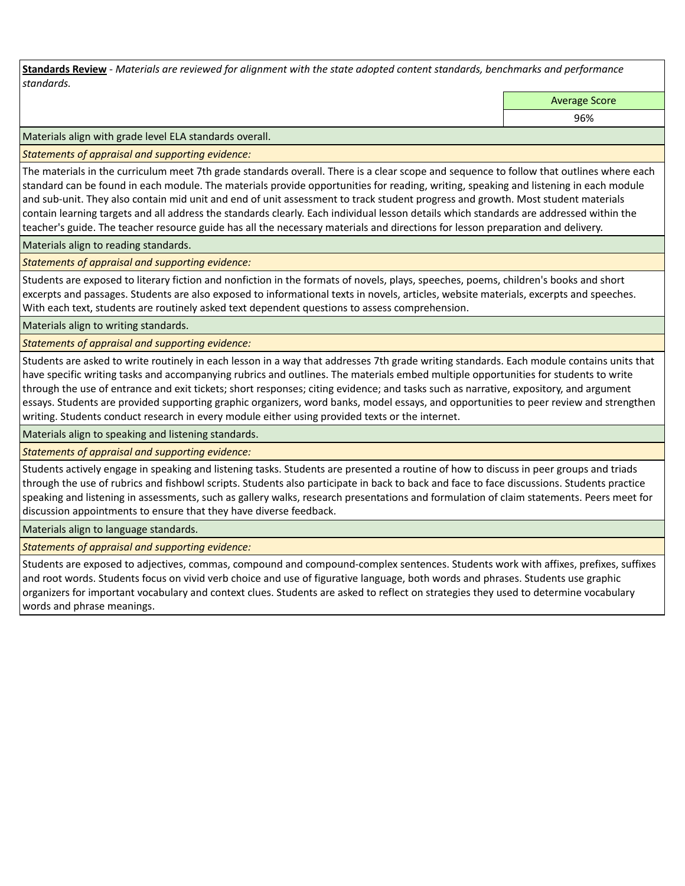**Standards Review** *- Materials are reviewed for alignment with the state adopted content standards, benchmarks and performance standards.*

Average Score

96%

Materials align with grade level ELA standards overall.

*Statements of appraisal and supporting evidence:* 

The materials in the curriculum meet 7th grade standards overall. There is a clear scope and sequence to follow that outlines where each standard can be found in each module. The materials provide opportunities for reading, writing, speaking and listening in each module and sub-unit. They also contain mid unit and end of unit assessment to track student progress and growth. Most student materials contain learning targets and all address the standards clearly. Each individual lesson details which standards are addressed within the teacher's guide. The teacher resource guide has all the necessary materials and directions for lesson preparation and delivery.

Materials align to reading standards.

*Statements of appraisal and supporting evidence:* 

Students are exposed to literary fiction and nonfiction in the formats of novels, plays, speeches, poems, children's books and short excerpts and passages. Students are also exposed to informational texts in novels, articles, website materials, excerpts and speeches. With each text, students are routinely asked text dependent questions to assess comprehension.

Materials align to writing standards.

*Statements of appraisal and supporting evidence:* 

Students are asked to write routinely in each lesson in a way that addresses 7th grade writing standards. Each module contains units that have specific writing tasks and accompanying rubrics and outlines. The materials embed multiple opportunities for students to write through the use of entrance and exit tickets; short responses; citing evidence; and tasks such as narrative, expository, and argument essays. Students are provided supporting graphic organizers, word banks, model essays, and opportunities to peer review and strengthen writing. Students conduct research in every module either using provided texts or the internet.

Materials align to speaking and listening standards.

*Statements of appraisal and supporting evidence:* 

Students actively engage in speaking and listening tasks. Students are presented a routine of how to discuss in peer groups and triads through the use of rubrics and fishbowl scripts. Students also participate in back to back and face to face discussions. Students practice speaking and listening in assessments, such as gallery walks, research presentations and formulation of claim statements. Peers meet for discussion appointments to ensure that they have diverse feedback.

Materials align to language standards.

*Statements of appraisal and supporting evidence:* 

Students are exposed to adjectives, commas, compound and compound-complex sentences. Students work with affixes, prefixes, suffixes and root words. Students focus on vivid verb choice and use of figurative language, both words and phrases. Students use graphic organizers for important vocabulary and context clues. Students are asked to reflect on strategies they used to determine vocabulary words and phrase meanings.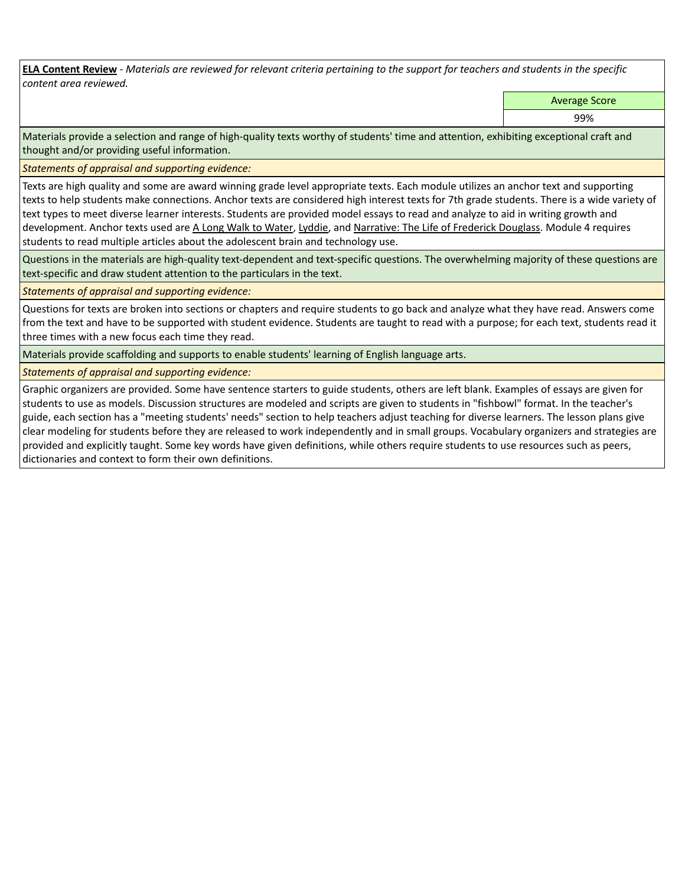**ELA Content Review** *- Materials are reviewed for relevant criteria pertaining to the support for teachers and students in the specific content area reviewed.*

Average Score

99%

Materials provide a selection and range of high-quality texts worthy of students' time and attention, exhibiting exceptional craft and thought and/or providing useful information.

*Statements of appraisal and supporting evidence:* 

Texts are high quality and some are award winning grade level appropriate texts. Each module utilizes an anchor text and supporting texts to help students make connections. Anchor texts are considered high interest texts for 7th grade students. There is a wide variety of text types to meet diverse learner interests. Students are provided model essays to read and analyze to aid in writing growth and development. Anchor texts used are A Long Walk to Water, Lyddie, and Narrative: The Life of Frederick Douglass. Module 4 requires students to read multiple articles about the adolescent brain and technology use.

Questions in the materials are high-quality text-dependent and text-specific questions. The overwhelming majority of these questions are text-specific and draw student attention to the particulars in the text.

*Statements of appraisal and supporting evidence:* 

Questions for texts are broken into sections or chapters and require students to go back and analyze what they have read. Answers come from the text and have to be supported with student evidence. Students are taught to read with a purpose; for each text, students read it three times with a new focus each time they read.

Materials provide scaffolding and supports to enable students' learning of English language arts.

*Statements of appraisal and supporting evidence:* 

Graphic organizers are provided. Some have sentence starters to guide students, others are left blank. Examples of essays are given for students to use as models. Discussion structures are modeled and scripts are given to students in "fishbowl" format. In the teacher's guide, each section has a "meeting students' needs" section to help teachers adjust teaching for diverse learners. The lesson plans give clear modeling for students before they are released to work independently and in small groups. Vocabulary organizers and strategies are provided and explicitly taught. Some key words have given definitions, while others require students to use resources such as peers, dictionaries and context to form their own definitions.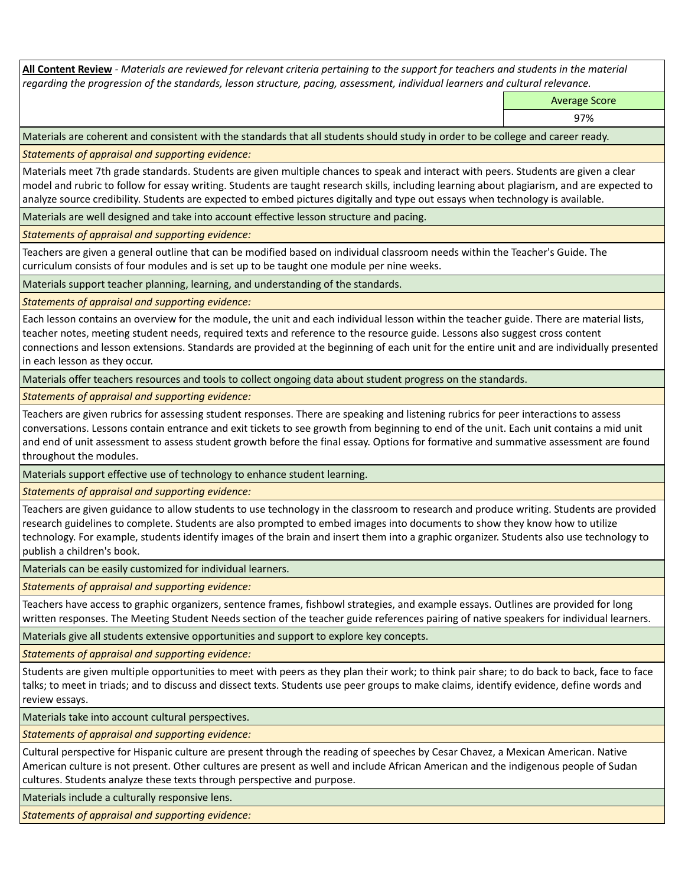**All Content Review** *- Materials are reviewed for relevant criteria pertaining to the support for teachers and students in the material regarding the progression of the standards, lesson structure, pacing, assessment, individual learners and cultural relevance.*

Average Score

97%

Materials are coherent and consistent with the standards that all students should study in order to be college and career ready.

*Statements of appraisal and supporting evidence:*

Materials meet 7th grade standards. Students are given multiple chances to speak and interact with peers. Students are given a clear model and rubric to follow for essay writing. Students are taught research skills, including learning about plagiarism, and are expected to analyze source credibility. Students are expected to embed pictures digitally and type out essays when technology is available.

Materials are well designed and take into account effective lesson structure and pacing.

*Statements of appraisal and supporting evidence:*

Teachers are given a general outline that can be modified based on individual classroom needs within the Teacher's Guide. The curriculum consists of four modules and is set up to be taught one module per nine weeks.

Materials support teacher planning, learning, and understanding of the standards.

*Statements of appraisal and supporting evidence:*

Each lesson contains an overview for the module, the unit and each individual lesson within the teacher guide. There are material lists, teacher notes, meeting student needs, required texts and reference to the resource guide. Lessons also suggest cross content connections and lesson extensions. Standards are provided at the beginning of each unit for the entire unit and are individually presented in each lesson as they occur.

Materials offer teachers resources and tools to collect ongoing data about student progress on the standards.

*Statements of appraisal and supporting evidence:*

Teachers are given rubrics for assessing student responses. There are speaking and listening rubrics for peer interactions to assess conversations. Lessons contain entrance and exit tickets to see growth from beginning to end of the unit. Each unit contains a mid unit and end of unit assessment to assess student growth before the final essay. Options for formative and summative assessment are found throughout the modules.

Materials support effective use of technology to enhance student learning.

*Statements of appraisal and supporting evidence:*

Teachers are given guidance to allow students to use technology in the classroom to research and produce writing. Students are provided research guidelines to complete. Students are also prompted to embed images into documents to show they know how to utilize technology. For example, students identify images of the brain and insert them into a graphic organizer. Students also use technology to publish a children's book.

Materials can be easily customized for individual learners.

*Statements of appraisal and supporting evidence:* 

Teachers have access to graphic organizers, sentence frames, fishbowl strategies, and example essays. Outlines are provided for long written responses. The Meeting Student Needs section of the teacher guide references pairing of native speakers for individual learners.

Materials give all students extensive opportunities and support to explore key concepts.

*Statements of appraisal and supporting evidence:*

Students are given multiple opportunities to meet with peers as they plan their work; to think pair share; to do back to back, face to face talks; to meet in triads; and to discuss and dissect texts. Students use peer groups to make claims, identify evidence, define words and review essays.

Materials take into account cultural perspectives.

*Statements of appraisal and supporting evidence:*

Cultural perspective for Hispanic culture are present through the reading of speeches by Cesar Chavez, a Mexican American. Native American culture is not present. Other cultures are present as well and include African American and the indigenous people of Sudan cultures. Students analyze these texts through perspective and purpose.

Materials include a culturally responsive lens.

*Statements of appraisal and supporting evidence:*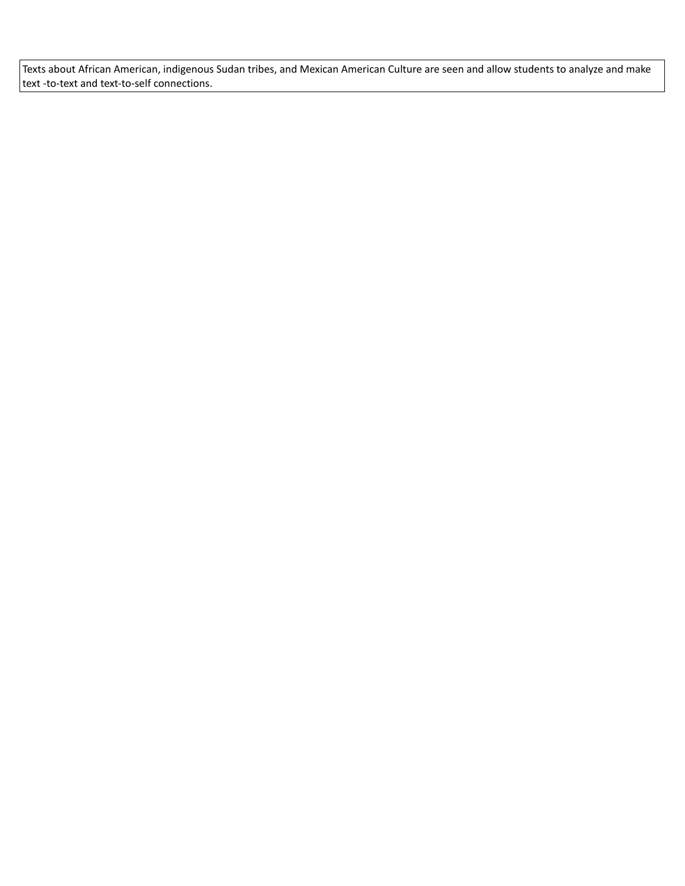Texts about African American, indigenous Sudan tribes, and Mexican American Culture are seen and allow students to analyze and make text -to-text and text-to-self connections.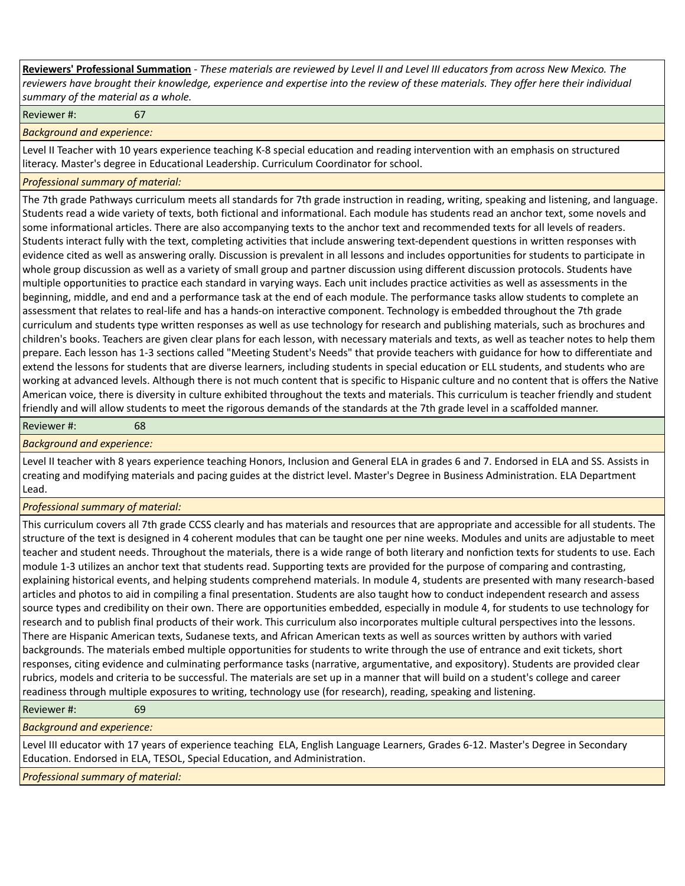**Reviewers' Professional Summation** *- These materials are reviewed by Level II and Level III educators from across New Mexico. The reviewers have brought their knowledge, experience and expertise into the review of these materials. They offer here their individual summary of the material as a whole.*

Reviewer #: 67

*Background and experience:*

Level II Teacher with 10 years experience teaching K-8 special education and reading intervention with an emphasis on structured literacy. Master's degree in Educational Leadership. Curriculum Coordinator for school.

## *Professional summary of material:*

The 7th grade Pathways curriculum meets all standards for 7th grade instruction in reading, writing, speaking and listening, and language. Students read a wide variety of texts, both fictional and informational. Each module has students read an anchor text, some novels and some informational articles. There are also accompanying texts to the anchor text and recommended texts for all levels of readers. Students interact fully with the text, completing activities that include answering text-dependent questions in written responses with evidence cited as well as answering orally. Discussion is prevalent in all lessons and includes opportunities for students to participate in whole group discussion as well as a variety of small group and partner discussion using different discussion protocols. Students have multiple opportunities to practice each standard in varying ways. Each unit includes practice activities as well as assessments in the beginning, middle, and end and a performance task at the end of each module. The performance tasks allow students to complete an assessment that relates to real-life and has a hands-on interactive component. Technology is embedded throughout the 7th grade curriculum and students type written responses as well as use technology for research and publishing materials, such as brochures and children's books. Teachers are given clear plans for each lesson, with necessary materials and texts, as well as teacher notes to help them prepare. Each lesson has 1-3 sections called "Meeting Student's Needs" that provide teachers with guidance for how to differentiate and extend the lessons for students that are diverse learners, including students in special education or ELL students, and students who are working at advanced levels. Although there is not much content that is specific to Hispanic culture and no content that is offers the Native American voice, there is diversity in culture exhibited throughout the texts and materials. This curriculum is teacher friendly and student friendly and will allow students to meet the rigorous demands of the standards at the 7th grade level in a scaffolded manner.

Reviewer #: 68

*Background and experience:*

Level II teacher with 8 years experience teaching Honors, Inclusion and General ELA in grades 6 and 7. Endorsed in ELA and SS. Assists in creating and modifying materials and pacing guides at the district level. Master's Degree in Business Administration. ELA Department Lead.

*Professional summary of material:*

This curriculum covers all 7th grade CCSS clearly and has materials and resources that are appropriate and accessible for all students. The structure of the text is designed in 4 coherent modules that can be taught one per nine weeks. Modules and units are adjustable to meet teacher and student needs. Throughout the materials, there is a wide range of both literary and nonfiction texts for students to use. Each module 1-3 utilizes an anchor text that students read. Supporting texts are provided for the purpose of comparing and contrasting, explaining historical events, and helping students comprehend materials. In module 4, students are presented with many research-based articles and photos to aid in compiling a final presentation. Students are also taught how to conduct independent research and assess source types and credibility on their own. There are opportunities embedded, especially in module 4, for students to use technology for research and to publish final products of their work. This curriculum also incorporates multiple cultural perspectives into the lessons. There are Hispanic American texts, Sudanese texts, and African American texts as well as sources written by authors with varied backgrounds. The materials embed multiple opportunities for students to write through the use of entrance and exit tickets, short responses, citing evidence and culminating performance tasks (narrative, argumentative, and expository). Students are provided clear rubrics, models and criteria to be successful. The materials are set up in a manner that will build on a student's college and career readiness through multiple exposures to writing, technology use (for research), reading, speaking and listening.

Reviewer #: 69

*Background and experience:*

Level III educator with 17 years of experience teaching ELA, English Language Learners, Grades 6-12. Master's Degree in Secondary Education. Endorsed in ELA, TESOL, Special Education, and Administration.

*Professional summary of material:*